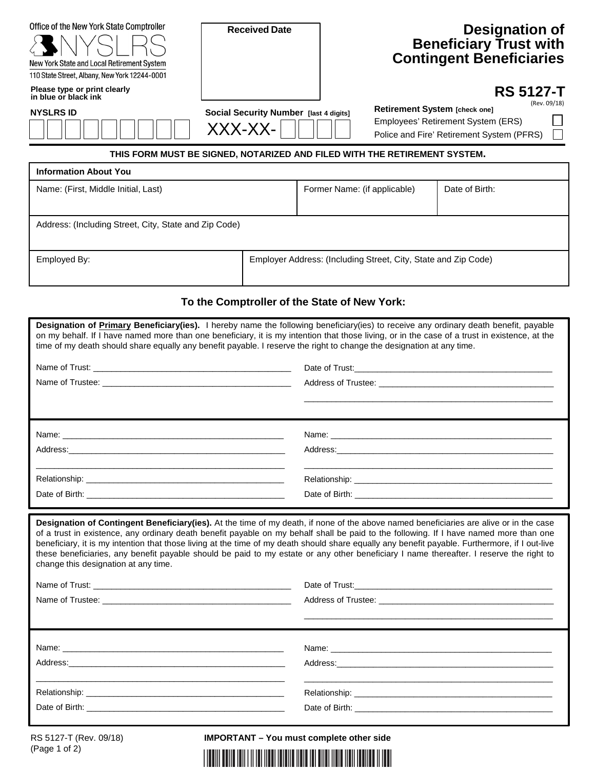| Office of the New York State Comptroller<br>New York State and Local Retirement System<br>110 State Street, Albany, New York 12244-0001 | <b>Received Date</b>                               |                              |                                                                | <b>Designation of</b><br><b>Beneficiary Trust with</b><br><b>Contingent Beneficiaries</b> |
|-----------------------------------------------------------------------------------------------------------------------------------------|----------------------------------------------------|------------------------------|----------------------------------------------------------------|-------------------------------------------------------------------------------------------|
| Please type or print clearly<br>in blue or black ink                                                                                    |                                                    |                              |                                                                | <b>RS 5127-T</b><br>(Rev. 09/18)                                                          |
| <b>NYSLRS ID</b>                                                                                                                        | Social Security Number [last 4 digits]<br>XXX-XX-1 |                              | <b>Retirement System [check one]</b>                           | Employees' Retirement System (ERS)<br>Police and Fire' Retirement System (PFRS)           |
| THIS FORM MUST BE SIGNED, NOTARIZED AND FILED WITH THE RETIREMENT SYSTEM.                                                               |                                                    |                              |                                                                |                                                                                           |
| <b>Information About You</b>                                                                                                            |                                                    |                              |                                                                |                                                                                           |
| Name: (First, Middle Initial, Last)                                                                                                     |                                                    | Former Name: (if applicable) |                                                                | Date of Birth:                                                                            |
| Address: (Including Street, City, State and Zip Code)                                                                                   |                                                    |                              |                                                                |                                                                                           |
| Employed By:                                                                                                                            |                                                    |                              | Employer Address: (Including Street, City, State and Zip Code) |                                                                                           |

## **To the Comptroller of the State of New York:**

| time of my death should share equally any benefit payable. I reserve the right to change the designation at any time. | Designation of Primary Beneficiary(ies). I hereby name the following beneficiary(ies) to receive any ordinary death benefit, payable<br>on my behalf. If I have named more than one beneficiary, it is my intention that those living, or in the case of a trust in existence, at the                                                                                                                                                                                                                                                                                         |
|-----------------------------------------------------------------------------------------------------------------------|-------------------------------------------------------------------------------------------------------------------------------------------------------------------------------------------------------------------------------------------------------------------------------------------------------------------------------------------------------------------------------------------------------------------------------------------------------------------------------------------------------------------------------------------------------------------------------|
|                                                                                                                       |                                                                                                                                                                                                                                                                                                                                                                                                                                                                                                                                                                               |
|                                                                                                                       |                                                                                                                                                                                                                                                                                                                                                                                                                                                                                                                                                                               |
|                                                                                                                       |                                                                                                                                                                                                                                                                                                                                                                                                                                                                                                                                                                               |
|                                                                                                                       |                                                                                                                                                                                                                                                                                                                                                                                                                                                                                                                                                                               |
|                                                                                                                       |                                                                                                                                                                                                                                                                                                                                                                                                                                                                                                                                                                               |
|                                                                                                                       |                                                                                                                                                                                                                                                                                                                                                                                                                                                                                                                                                                               |
|                                                                                                                       |                                                                                                                                                                                                                                                                                                                                                                                                                                                                                                                                                                               |
|                                                                                                                       |                                                                                                                                                                                                                                                                                                                                                                                                                                                                                                                                                                               |
| change this designation at any time.                                                                                  | Designation of Contingent Beneficiary(ies). At the time of my death, if none of the above named beneficiaries are alive or in the case<br>of a trust in existence, any ordinary death benefit payable on my behalf shall be paid to the following. If I have named more than one<br>beneficiary, it is my intention that those living at the time of my death should share equally any benefit payable. Furthermore, if I out-live<br>these beneficiaries, any benefit payable should be paid to my estate or any other beneficiary I name thereafter. I reserve the right to |
|                                                                                                                       |                                                                                                                                                                                                                                                                                                                                                                                                                                                                                                                                                                               |
|                                                                                                                       |                                                                                                                                                                                                                                                                                                                                                                                                                                                                                                                                                                               |
|                                                                                                                       |                                                                                                                                                                                                                                                                                                                                                                                                                                                                                                                                                                               |
|                                                                                                                       | Relationship: Network and the state of the state of the state of the state of the state of the state of the state of the state of the state of the state of the state of the state of the state of the state of the state of t                                                                                                                                                                                                                                                                                                                                                |

**IMPORTANT – You must complete other side**